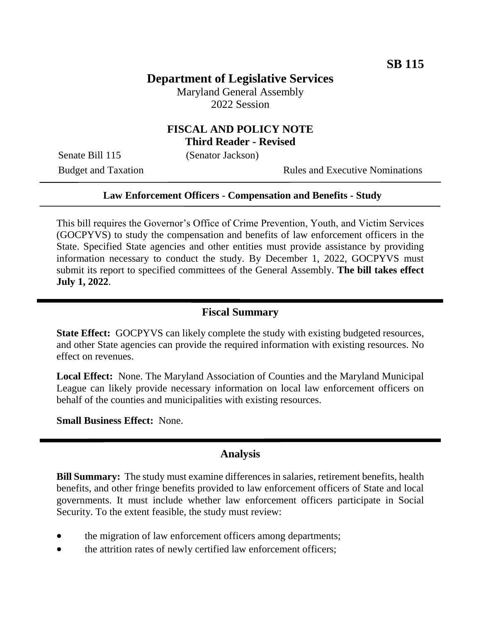# **Department of Legislative Services**

Maryland General Assembly 2022 Session

### **FISCAL AND POLICY NOTE Third Reader - Revised**

Senate Bill 115 (Senator Jackson)

Budget and Taxation Rules and Executive Nominations

#### **Law Enforcement Officers - Compensation and Benefits - Study**

This bill requires the Governor's Office of Crime Prevention, Youth, and Victim Services (GOCPYVS) to study the compensation and benefits of law enforcement officers in the State. Specified State agencies and other entities must provide assistance by providing information necessary to conduct the study. By December 1, 2022, GOCPYVS must submit its report to specified committees of the General Assembly. **The bill takes effect July 1, 2022**.

### **Fiscal Summary**

**State Effect:** GOCPYVS can likely complete the study with existing budgeted resources, and other State agencies can provide the required information with existing resources. No effect on revenues.

**Local Effect:** None. The Maryland Association of Counties and the Maryland Municipal League can likely provide necessary information on local law enforcement officers on behalf of the counties and municipalities with existing resources.

**Small Business Effect:** None.

#### **Analysis**

**Bill Summary:** The study must examine differences in salaries, retirement benefits, health benefits, and other fringe benefits provided to law enforcement officers of State and local governments. It must include whether law enforcement officers participate in Social Security. To the extent feasible, the study must review:

- the migration of law enforcement officers among departments;
- the attrition rates of newly certified law enforcement officers;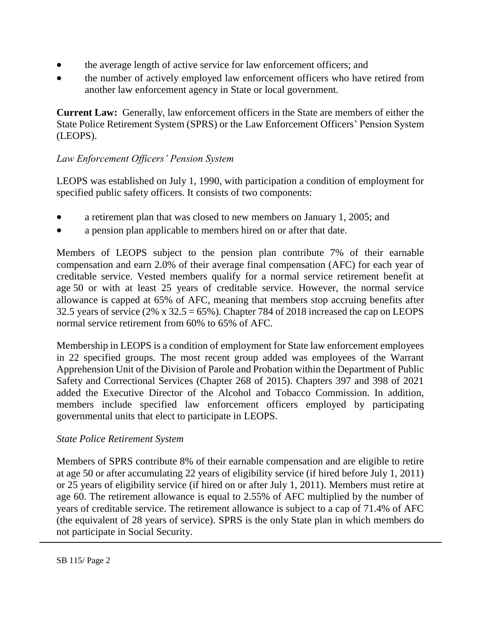- the average length of active service for law enforcement officers; and
- the number of actively employed law enforcement officers who have retired from another law enforcement agency in State or local government.

**Current Law:** Generally, law enforcement officers in the State are members of either the State Police Retirement System (SPRS) or the Law Enforcement Officers' Pension System (LEOPS).

# *Law Enforcement Officers' Pension System*

LEOPS was established on July 1, 1990, with participation a condition of employment for specified public safety officers. It consists of two components:

- a retirement plan that was closed to new members on January 1, 2005; and
- a pension plan applicable to members hired on or after that date.

Members of LEOPS subject to the pension plan contribute 7% of their earnable compensation and earn 2.0% of their average final compensation (AFC) for each year of creditable service. Vested members qualify for a normal service retirement benefit at age 50 or with at least 25 years of creditable service. However, the normal service allowance is capped at 65% of AFC, meaning that members stop accruing benefits after 32.5 years of service (2% x  $32.5 = 65\%$ ). Chapter 784 of 2018 increased the cap on LEOPS normal service retirement from 60% to 65% of AFC.

Membership in LEOPS is a condition of employment for State law enforcement employees in 22 specified groups. The most recent group added was employees of the Warrant Apprehension Unit of the Division of Parole and Probation within the Department of Public Safety and Correctional Services (Chapter 268 of 2015). Chapters 397 and 398 of 2021 added the Executive Director of the Alcohol and Tobacco Commission. In addition, members include specified law enforcement officers employed by participating governmental units that elect to participate in LEOPS.

## *State Police Retirement System*

Members of SPRS contribute 8% of their earnable compensation and are eligible to retire at age 50 or after accumulating 22 years of eligibility service (if hired before July 1, 2011) or 25 years of eligibility service (if hired on or after July 1, 2011). Members must retire at age 60. The retirement allowance is equal to 2.55% of AFC multiplied by the number of years of creditable service. The retirement allowance is subject to a cap of 71.4% of AFC (the equivalent of 28 years of service). SPRS is the only State plan in which members do not participate in Social Security.